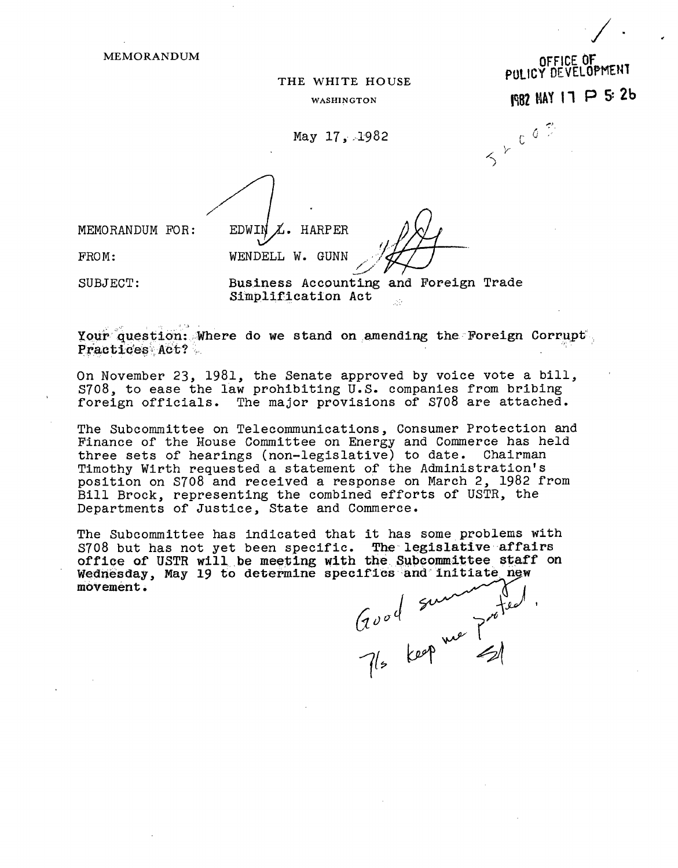**MEMORANDUM** 

## THE WHITE HOUSE

WASHINGTON

May 17, 1982

MEMORANDUM FOR:

 $\chi$ . HARPER WENDELL W. GUNN

OFFICE OF PULICY DEVELOPMENT

**1982 MAY 17 P 5: 2b** 

SYCOF

FROM:

SUBJECT:

Business Accounting and Foreign Trade Simplification Act

Your question: Where do we stand on amending the Foreign Corrupt Practices Act?

EDWIN

On November 23, 1981, the Senate approved by voice vote a bill, S708, to ease the law prohibiting U.S. companies from bribing foreign officials. The major provisions of S708 are attached.

The Subcommittee on Telecommunications, Consumer Protection and Finance of the House Committee on Energy and Commerce has held three sets of hearings (non-legislative) to date. Chairman Timothy Wirth requested a statement of the Administration's position on S708 and received a response on March 2, 1982 from Bill Brock, representing the combined efforts of USTR, the Departments of Justice, State and Commerce.

The Subcommittee has indicated that it has some problems with S708 but has not yet been specific. The legislative affairs<br>office of USTR will be meeting with the Subcommittee staff on Wednesday, May 19 to determine specifics and initiate new movement.

Good summerfed.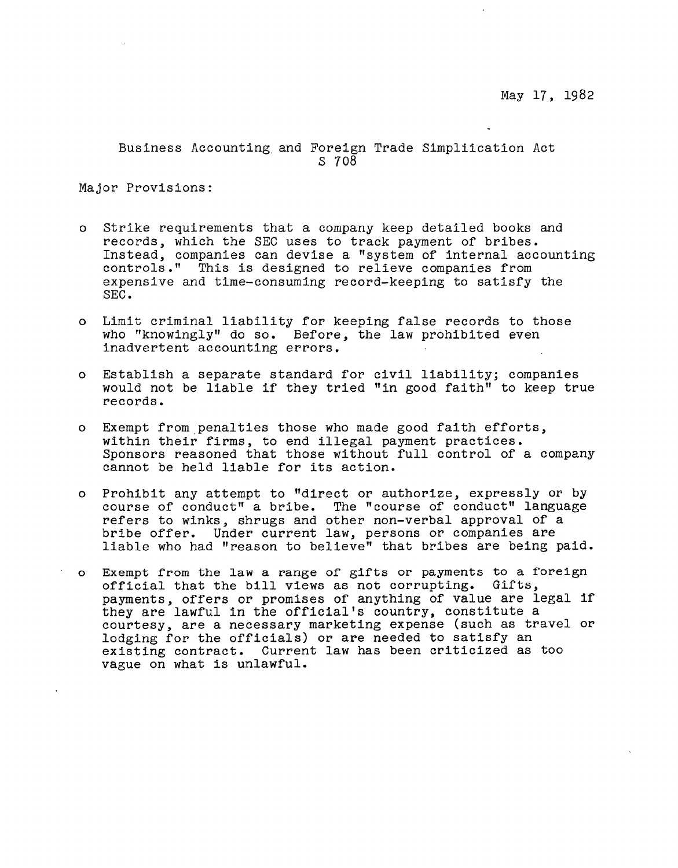Business Accounting and Foreign Trade Simpliication Act S 708

Major Provisions:

- o Strike requirements that a company keep detailed books and records, which the SEC uses to track payment of bribes. Instead, companies can devise a "system of internal accounting controls." This is designed to relieve companies from expensive and time-consuming record-keeping to satisfy the SEC.
- o Limit criminal liability for keeping false records to those who "knowingly" do so. Before, the law prohibited even inadvertent accounting errors.
- o Establish a separate standard for civil liability; companies would not be liable if they tried "in good faith" to keep true records.
- o Exempt from,penalties those who made good faith efforts, within their firms, to end illegal payment practices. Sponsors reasoned that those without full control of a company cannot be held liable for its action.
- o Prohibit any attempt to "direct or authorize, expressly or by course of conduct" a bribe. The "course of conduct" language refers to winks, shrugs and other non-verbal approval of a bribe offer. Under current law, persons or companies are liable who had "reason to believe" that bribes are being paid.
- o Exempt from the law a range of gifts or payments to a foreign orficial that the bill views as not corrupting. Gifts, payments, offers or promises of anything of value are legal if they are lawful in the official's country, constitute a courtesy, are a necessary marketing expense (such as travel or lodging for the officials) or are needed to satisfy an existing contract. Current law has been criticized as too vague on what is unlawful.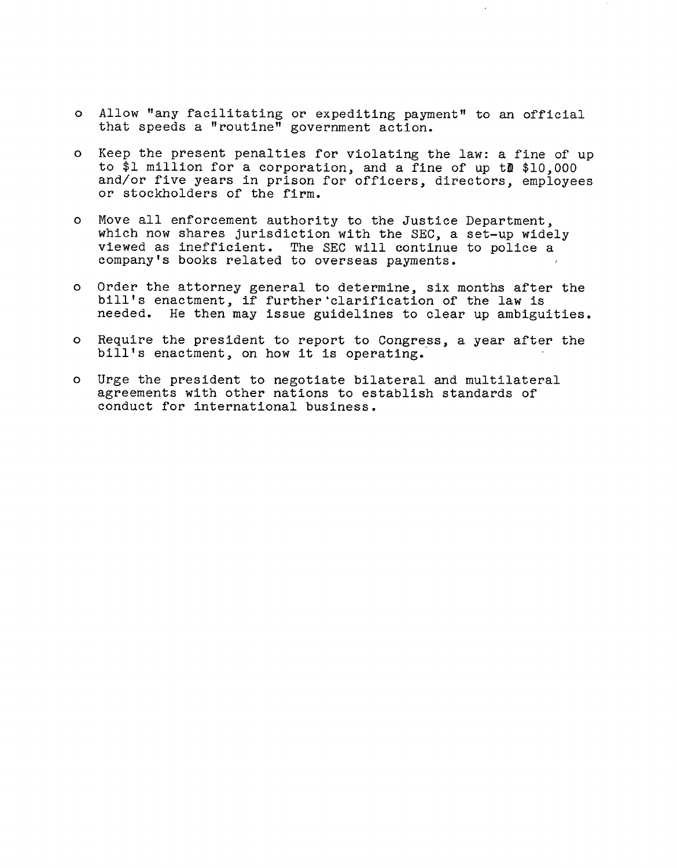- o Allow "any facilitating or expediting payment" to an official that speeds a "routine" government action.
- o Keep the present penalties for violating the law: a fine of up to \$1 million for a corporation, and a fine of up *tm \$10,000*  and/or five years in prison for officers, directors, employees or stockholders of the firm.
- o Move all enforcement authority to the Justice Department, which now shares jurisdiction with the SEC, a set-up widely viewed as inefficient. The SEC will continue to police a company's books related to overseas payments.
- o Order the attorney general to determine, six months after the bill's enactment, if further 'clarification of the law is needed. He then may issue guidelines to clear up ambiguities.
- o Require the president to report to Congress, a year after the bill's enactment, on how it is operating.
- o Urge the president to negotiate bilateral and multilateral agreements with other nations to establish standards of conduct for international business.